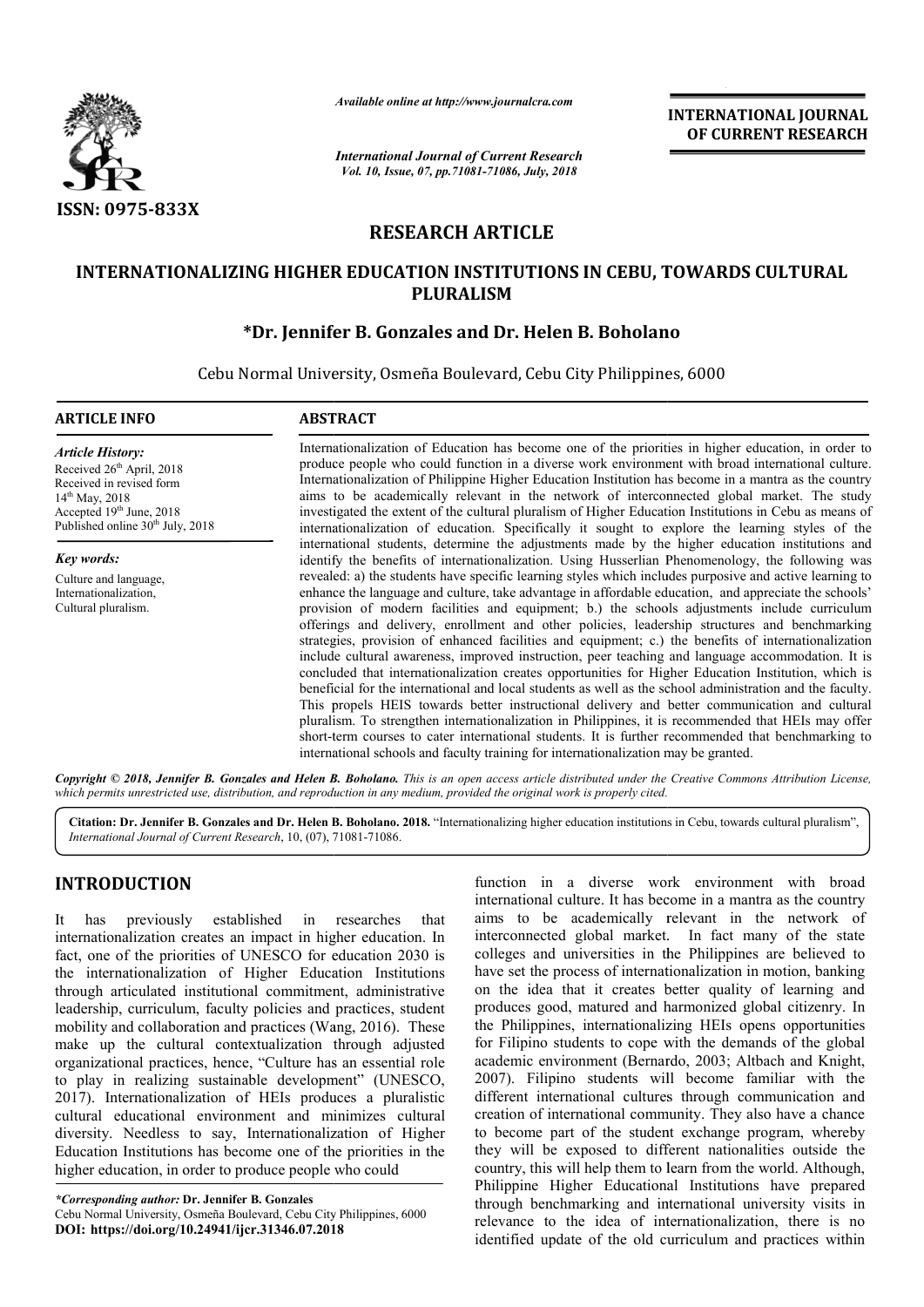

*Available online at http://www.journalcra.com*

# **RESEARCH ARTICLE**

## **INTERNATIONALIZING HIGHER EDUCATION INSTITUTIONS IN CEBU, TOWARDS CULTURAL TOWARDS CULTURAL PLURALISM**

## **\*Dr. Jennifer B. Gonzales and Dr. Helen B. Boholano Boholano**

|                                                                                                                                                                                                                                                                                                                                                                                                                                                                                                                                                                                                                                                                                                                                                                                                                                                                                                                                                                                                                                                                                                                                                                                        |                                                                                                                                                                                                                                                                                                                                                                                                                                                                                                                                                                                                                                                                                                                                                                                                                                                                                                                                                                                                                                                                                                                                                                                                                                                                                                                                                                                                                                                                                                                                                                                                                                                                                                                                                                                                                                                                                                                                                                                                                                                                                                 | uuwie vnune ui nup://www.jvurnuicru.com | <b>INTERNATIONAL JOURNAL</b><br>OF CURRENT RESEARCH                                                                                                                                                                                                                                                                                                                                                                                                                                                                                                                                                                                                                                                                                                                                                                                                                                                                                                                                                                                                                                                                                                                                                                                                                                                                                             |
|----------------------------------------------------------------------------------------------------------------------------------------------------------------------------------------------------------------------------------------------------------------------------------------------------------------------------------------------------------------------------------------------------------------------------------------------------------------------------------------------------------------------------------------------------------------------------------------------------------------------------------------------------------------------------------------------------------------------------------------------------------------------------------------------------------------------------------------------------------------------------------------------------------------------------------------------------------------------------------------------------------------------------------------------------------------------------------------------------------------------------------------------------------------------------------------|-------------------------------------------------------------------------------------------------------------------------------------------------------------------------------------------------------------------------------------------------------------------------------------------------------------------------------------------------------------------------------------------------------------------------------------------------------------------------------------------------------------------------------------------------------------------------------------------------------------------------------------------------------------------------------------------------------------------------------------------------------------------------------------------------------------------------------------------------------------------------------------------------------------------------------------------------------------------------------------------------------------------------------------------------------------------------------------------------------------------------------------------------------------------------------------------------------------------------------------------------------------------------------------------------------------------------------------------------------------------------------------------------------------------------------------------------------------------------------------------------------------------------------------------------------------------------------------------------------------------------------------------------------------------------------------------------------------------------------------------------------------------------------------------------------------------------------------------------------------------------------------------------------------------------------------------------------------------------------------------------------------------------------------------------------------------------------------------------|-----------------------------------------|-------------------------------------------------------------------------------------------------------------------------------------------------------------------------------------------------------------------------------------------------------------------------------------------------------------------------------------------------------------------------------------------------------------------------------------------------------------------------------------------------------------------------------------------------------------------------------------------------------------------------------------------------------------------------------------------------------------------------------------------------------------------------------------------------------------------------------------------------------------------------------------------------------------------------------------------------------------------------------------------------------------------------------------------------------------------------------------------------------------------------------------------------------------------------------------------------------------------------------------------------------------------------------------------------------------------------------------------------|
|                                                                                                                                                                                                                                                                                                                                                                                                                                                                                                                                                                                                                                                                                                                                                                                                                                                                                                                                                                                                                                                                                                                                                                                        | <b>International Journal of Current Research</b><br>Vol. 10, Issue, 07, pp.71081-71086, July, 2018                                                                                                                                                                                                                                                                                                                                                                                                                                                                                                                                                                                                                                                                                                                                                                                                                                                                                                                                                                                                                                                                                                                                                                                                                                                                                                                                                                                                                                                                                                                                                                                                                                                                                                                                                                                                                                                                                                                                                                                              |                                         |                                                                                                                                                                                                                                                                                                                                                                                                                                                                                                                                                                                                                                                                                                                                                                                                                                                                                                                                                                                                                                                                                                                                                                                                                                                                                                                                                 |
| <b>ISSN: 0975-833X</b>                                                                                                                                                                                                                                                                                                                                                                                                                                                                                                                                                                                                                                                                                                                                                                                                                                                                                                                                                                                                                                                                                                                                                                 |                                                                                                                                                                                                                                                                                                                                                                                                                                                                                                                                                                                                                                                                                                                                                                                                                                                                                                                                                                                                                                                                                                                                                                                                                                                                                                                                                                                                                                                                                                                                                                                                                                                                                                                                                                                                                                                                                                                                                                                                                                                                                                 |                                         |                                                                                                                                                                                                                                                                                                                                                                                                                                                                                                                                                                                                                                                                                                                                                                                                                                                                                                                                                                                                                                                                                                                                                                                                                                                                                                                                                 |
|                                                                                                                                                                                                                                                                                                                                                                                                                                                                                                                                                                                                                                                                                                                                                                                                                                                                                                                                                                                                                                                                                                                                                                                        |                                                                                                                                                                                                                                                                                                                                                                                                                                                                                                                                                                                                                                                                                                                                                                                                                                                                                                                                                                                                                                                                                                                                                                                                                                                                                                                                                                                                                                                                                                                                                                                                                                                                                                                                                                                                                                                                                                                                                                                                                                                                                                 | <b>RESEARCH ARTICLE</b>                 |                                                                                                                                                                                                                                                                                                                                                                                                                                                                                                                                                                                                                                                                                                                                                                                                                                                                                                                                                                                                                                                                                                                                                                                                                                                                                                                                                 |
|                                                                                                                                                                                                                                                                                                                                                                                                                                                                                                                                                                                                                                                                                                                                                                                                                                                                                                                                                                                                                                                                                                                                                                                        |                                                                                                                                                                                                                                                                                                                                                                                                                                                                                                                                                                                                                                                                                                                                                                                                                                                                                                                                                                                                                                                                                                                                                                                                                                                                                                                                                                                                                                                                                                                                                                                                                                                                                                                                                                                                                                                                                                                                                                                                                                                                                                 | <b>PLURALISM</b>                        | INTERNATIONALIZING HIGHER EDUCATION INSTITUTIONS IN CEBU, TOWARDS CULTURAL                                                                                                                                                                                                                                                                                                                                                                                                                                                                                                                                                                                                                                                                                                                                                                                                                                                                                                                                                                                                                                                                                                                                                                                                                                                                      |
|                                                                                                                                                                                                                                                                                                                                                                                                                                                                                                                                                                                                                                                                                                                                                                                                                                                                                                                                                                                                                                                                                                                                                                                        | *Dr. Jennifer B. Gonzales and Dr. Helen B. Boholano<br>Cebu Normal University, Osmeña Boulevard, Cebu City Philippines, 6000                                                                                                                                                                                                                                                                                                                                                                                                                                                                                                                                                                                                                                                                                                                                                                                                                                                                                                                                                                                                                                                                                                                                                                                                                                                                                                                                                                                                                                                                                                                                                                                                                                                                                                                                                                                                                                                                                                                                                                    |                                         |                                                                                                                                                                                                                                                                                                                                                                                                                                                                                                                                                                                                                                                                                                                                                                                                                                                                                                                                                                                                                                                                                                                                                                                                                                                                                                                                                 |
| <b>ARTICLE INFO</b>                                                                                                                                                                                                                                                                                                                                                                                                                                                                                                                                                                                                                                                                                                                                                                                                                                                                                                                                                                                                                                                                                                                                                                    | <b>ABSTRACT</b>                                                                                                                                                                                                                                                                                                                                                                                                                                                                                                                                                                                                                                                                                                                                                                                                                                                                                                                                                                                                                                                                                                                                                                                                                                                                                                                                                                                                                                                                                                                                                                                                                                                                                                                                                                                                                                                                                                                                                                                                                                                                                 |                                         |                                                                                                                                                                                                                                                                                                                                                                                                                                                                                                                                                                                                                                                                                                                                                                                                                                                                                                                                                                                                                                                                                                                                                                                                                                                                                                                                                 |
| <b>Article History:</b><br>Received 26 <sup>th</sup> April, 2018<br>Received in revised form<br>14 <sup>th</sup> May, 2018<br>Accepted 19th June, 2018<br>Published online 30 <sup>th</sup> July, 2018                                                                                                                                                                                                                                                                                                                                                                                                                                                                                                                                                                                                                                                                                                                                                                                                                                                                                                                                                                                 | Internationalization of Education has become one of the priorities in higher education, in order to<br>produce people who could function in a diverse work environment with broad international culture.<br>Internationalization of Philippine Higher Education Institution has become in a mantra as the country<br>aims to be academically relevant in the network of interconnected global market. The study<br>investigated the extent of the cultural pluralism of Higher Education Institutions in Cebu as means of<br>internationalization of education. Specifically it sought to explore the learning styles of the<br>international students, determine the adjustments made by the higher education institutions and<br>identify the benefits of internationalization. Using Husserlian Phenomenology, the following was<br>revealed: a) the students have specific learning styles which includes purposive and active learning to<br>enhance the language and culture, take advantage in affordable education, and appreciate the schools'<br>provision of modern facilities and equipment; b.) the schools adjustments include curriculum<br>offerings and delivery, enrollment and other policies, leadership structures and benchmarking<br>strategies, provision of enhanced facilities and equipment; c.) the benefits of internationalization<br>include cultural awareness, improved instruction, peer teaching and language accommodation. It is<br>concluded that internationalization creates opportunities for Higher Education Institution, which is<br>beneficial for the international and local students as well as the school administration and the faculty.<br>This propels HEIS towards better instructional delivery and better communication and cultural<br>pluralism. To strengthen internationalization in Philippines, it is recommended that HEIs may offer<br>short-term courses to cater international students. It is further recommended that benchmarking to<br>international schools and faculty training for internationalization may be granted. |                                         |                                                                                                                                                                                                                                                                                                                                                                                                                                                                                                                                                                                                                                                                                                                                                                                                                                                                                                                                                                                                                                                                                                                                                                                                                                                                                                                                                 |
| Key words:<br>Culture and language,<br>Internationalization,<br>Cultural pluralism.                                                                                                                                                                                                                                                                                                                                                                                                                                                                                                                                                                                                                                                                                                                                                                                                                                                                                                                                                                                                                                                                                                    |                                                                                                                                                                                                                                                                                                                                                                                                                                                                                                                                                                                                                                                                                                                                                                                                                                                                                                                                                                                                                                                                                                                                                                                                                                                                                                                                                                                                                                                                                                                                                                                                                                                                                                                                                                                                                                                                                                                                                                                                                                                                                                 |                                         |                                                                                                                                                                                                                                                                                                                                                                                                                                                                                                                                                                                                                                                                                                                                                                                                                                                                                                                                                                                                                                                                                                                                                                                                                                                                                                                                                 |
| which permits unrestricted use, distribution, and reproduction in any medium, provided the original work is properly cited.                                                                                                                                                                                                                                                                                                                                                                                                                                                                                                                                                                                                                                                                                                                                                                                                                                                                                                                                                                                                                                                            |                                                                                                                                                                                                                                                                                                                                                                                                                                                                                                                                                                                                                                                                                                                                                                                                                                                                                                                                                                                                                                                                                                                                                                                                                                                                                                                                                                                                                                                                                                                                                                                                                                                                                                                                                                                                                                                                                                                                                                                                                                                                                                 |                                         | Copyright © 2018, Jennifer B. Gonzales and Helen B. Boholano. This is an open access article distributed under the Creative Commons Attribution License,                                                                                                                                                                                                                                                                                                                                                                                                                                                                                                                                                                                                                                                                                                                                                                                                                                                                                                                                                                                                                                                                                                                                                                                        |
| International Journal of Current Research, 10, (07), 71081-71086.                                                                                                                                                                                                                                                                                                                                                                                                                                                                                                                                                                                                                                                                                                                                                                                                                                                                                                                                                                                                                                                                                                                      |                                                                                                                                                                                                                                                                                                                                                                                                                                                                                                                                                                                                                                                                                                                                                                                                                                                                                                                                                                                                                                                                                                                                                                                                                                                                                                                                                                                                                                                                                                                                                                                                                                                                                                                                                                                                                                                                                                                                                                                                                                                                                                 |                                         | Citation: Dr. Jennifer B. Gonzales and Dr. Helen B. Boholano. 2018. "Internationalizing higher education institutions in Cebu, towards cultural pluralism",                                                                                                                                                                                                                                                                                                                                                                                                                                                                                                                                                                                                                                                                                                                                                                                                                                                                                                                                                                                                                                                                                                                                                                                     |
| <b>INTRODUCTION</b><br>established<br>previously<br>in<br>researches<br>that<br>-lt<br>has<br>internationalization creates an impact in higher education. In<br>fact, one of the priorities of UNESCO for education 2030 is<br>the internationalization of Higher Education Institutions<br>through articulated institutional commitment, administrative<br>leadership, curriculum, faculty policies and practices, student<br>mobility and collaboration and practices (Wang, 2016). These<br>make up the cultural contextualization through adjusted<br>organizational practices, hence, "Culture has an essential role<br>to play in realizing sustainable development" (UNESCO,<br>2017). Internationalization of HEIs produces a pluralistic<br>cultural educational environment and minimizes cultural<br>diversity. Needless to say, Internationalization of Higher<br>Education Institutions has become one of the priorities in the<br>higher education, in order to produce people who could<br>*Corresponding author: Dr. Jennifer B. Gonzales<br>Cebu Normal University, Osmeña Boulevard, Cebu City Philippines, 6000<br>DOI: https://doi.org/10.24941/ijcr.31346.07.2018 |                                                                                                                                                                                                                                                                                                                                                                                                                                                                                                                                                                                                                                                                                                                                                                                                                                                                                                                                                                                                                                                                                                                                                                                                                                                                                                                                                                                                                                                                                                                                                                                                                                                                                                                                                                                                                                                                                                                                                                                                                                                                                                 |                                         | function in a diverse work environment with broad<br>international culture. It has become in a mantra as the country<br>aims to be academically relevant in the network of<br>interconnected global market. In fact many of the state<br>colleges and universities in the Philippines are believed to<br>have set the process of internationalization in motion, banking<br>on the idea that it creates better quality of learning and<br>produces good, matured and harmonized global citizenry. In<br>the Philippines, internationalizing HEIs opens opportunities<br>for Filipino students to cope with the demands of the global<br>academic environment (Bernardo, 2003; Altbach and Knight,<br>2007). Filipino students will become familiar with the<br>different international cultures through communication and<br>creation of international community. They also have a chance<br>to become part of the student exchange program, whereby<br>they will be exposed to different nationalities outside the<br>country, this will help them to learn from the world. Although,<br>Philippine Higher Educational Institutions have prepared<br>through benchmarking and international university visits in<br>relevance to the idea of internationalization, there is no<br>identified update of the old curriculum and practices within |

## **INTRODUCTION**

*<sup>\*</sup>Corresponding author:* **Dr. Jennifer B. Gonzales**  Cebu Normal University, Osmeña Boulevard, Cebu City Philippines, 6000 **DOI: https://doi.org/10.24941/ijcr.31346.07.2018**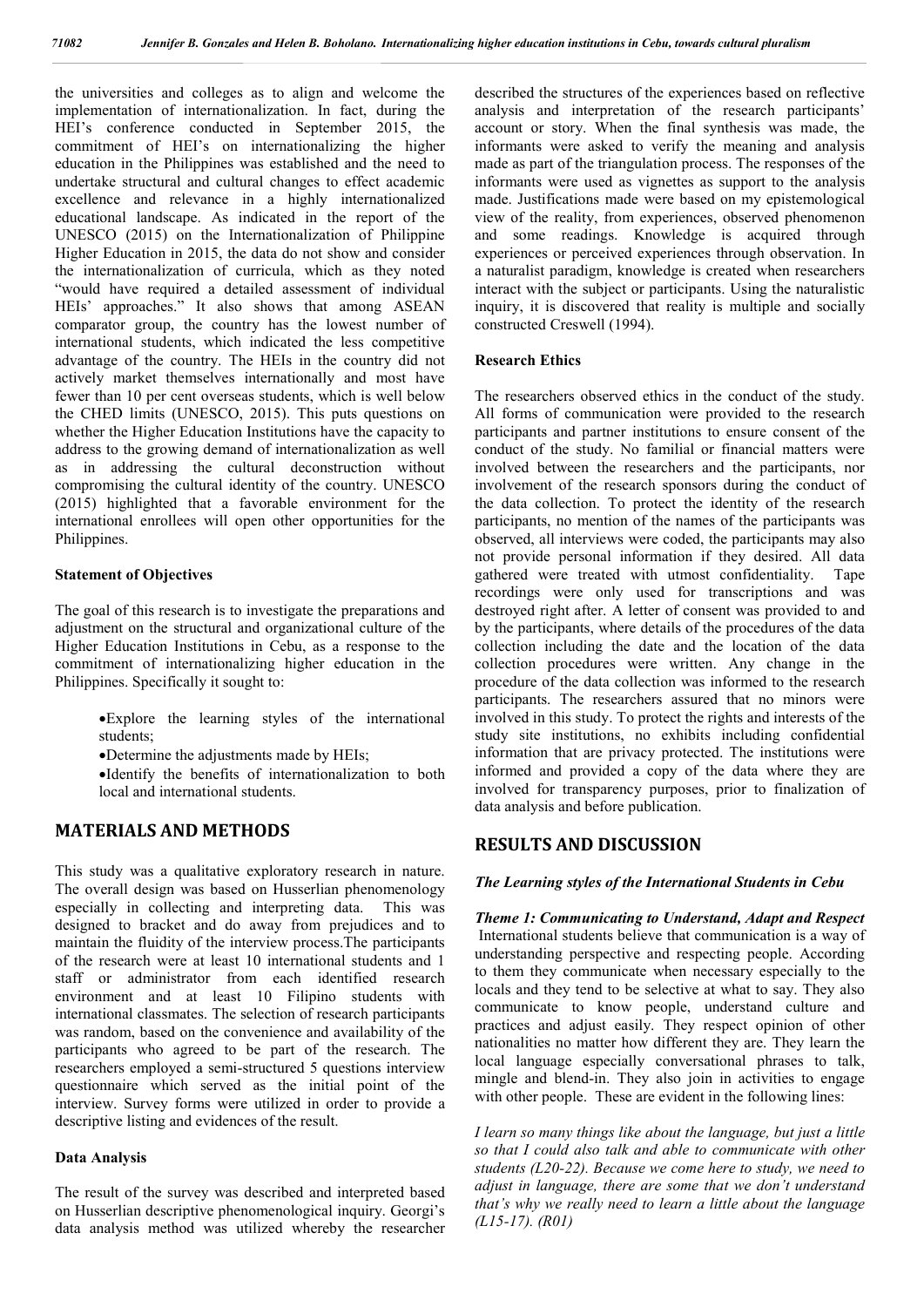the universities and colleges as to align and welcome the implementation of internationalization. In fact, during the HEI's conference conducted in September 2015, the commitment of HEI's on internationalizing the higher education in the Philippines was established and the need to undertake structural and cultural changes to effect academic excellence and relevance in a highly internationalized educational landscape. As indicated in the report of the UNESCO (2015) on the Internationalization of Philippine Higher Education in 2015, the data do not show and consider the internationalization of curricula, which as they noted "would have required a detailed assessment of individual HEIs' approaches." It also shows that among ASEAN comparator group, the country has the lowest number of international students, which indicated the less competitive advantage of the country. The HEIs in the country did not actively market themselves internationally and most have fewer than 10 per cent overseas students, which is well below the CHED limits (UNESCO, 2015). This puts questions on whether the Higher Education Institutions have the capacity to address to the growing demand of internationalization as well as in addressing the cultural deconstruction without compromising the cultural identity of the country. UNESCO (2015) highlighted that a favorable environment for the international enrollees will open other opportunities for the Philippines.

#### **Statement of Objectives**

The goal of this research is to investigate the preparations and adjustment on the structural and organizational culture of the Higher Education Institutions in Cebu, as a response to the commitment of internationalizing higher education in the Philippines. Specifically it sought to:

- Explore the learning styles of the international students;
- Determine the adjustments made by HEIs;
- Identify the benefits of internationalization to both local and international students.

### **MATERIALS AND METHODS**

This study was a qualitative exploratory research in nature. The overall design was based on Husserlian phenomenology especially in collecting and interpreting data. This was designed to bracket and do away from prejudices and to maintain the fluidity of the interview process.The participants of the research were at least 10 international students and 1 staff or administrator from each identified research environment and at least 10 Filipino students with international classmates. The selection of research participants was random, based on the convenience and availability of the participants who agreed to be part of the research. The researchers employed a semi-structured 5 questions interview questionnaire which served as the initial point of the interview. Survey forms were utilized in order to provide a descriptive listing and evidences of the result.

#### **Data Analysis**

The result of the survey was described and interpreted based on Husserlian descriptive phenomenological inquiry. Georgi's data analysis method was utilized whereby the researcher described the structures of the experiences based on reflective analysis and interpretation of the research participants' account or story. When the final synthesis was made, the informants were asked to verify the meaning and analysis made as part of the triangulation process. The responses of the informants were used as vignettes as support to the analysis made. Justifications made were based on my epistemological view of the reality, from experiences, observed phenomenon and some readings. Knowledge is acquired through experiences or perceived experiences through observation. In a naturalist paradigm, knowledge is created when researchers interact with the subject or participants. Using the naturalistic inquiry, it is discovered that reality is multiple and socially constructed Creswell (1994).

#### **Research Ethics**

The researchers observed ethics in the conduct of the study. All forms of communication were provided to the research participants and partner institutions to ensure consent of the conduct of the study. No familial or financial matters were involved between the researchers and the participants, nor involvement of the research sponsors during the conduct of the data collection. To protect the identity of the research participants, no mention of the names of the participants was observed, all interviews were coded, the participants may also not provide personal information if they desired. All data gathered were treated with utmost confidentiality. Tape recordings were only used for transcriptions and was destroyed right after. A letter of consent was provided to and by the participants, where details of the procedures of the data collection including the date and the location of the data collection procedures were written. Any change in the procedure of the data collection was informed to the research participants. The researchers assured that no minors were involved in this study. To protect the rights and interests of the study site institutions, no exhibits including confidential information that are privacy protected. The institutions were informed and provided a copy of the data where they are involved for transparency purposes, prior to finalization of data analysis and before publication.

### **RESULTS AND DISCUSSION**

#### *The Learning styles of the International Students in Cebu*

*Theme 1: Communicating to Understand, Adapt and Respect* International students believe that communication is a way of understanding perspective and respecting people. According to them they communicate when necessary especially to the locals and they tend to be selective at what to say. They also communicate to know people, understand culture and practices and adjust easily. They respect opinion of other nationalities no matter how different they are. They learn the local language especially conversational phrases to talk, mingle and blend-in. They also join in activities to engage with other people. These are evident in the following lines:

*I learn so many things like about the language, but just a little so that I could also talk and able to communicate with other students (L20-22). Because we come here to study, we need to adjust in language, there are some that we don't understand that's why we really need to learn a little about the language (L15-17). (R01)*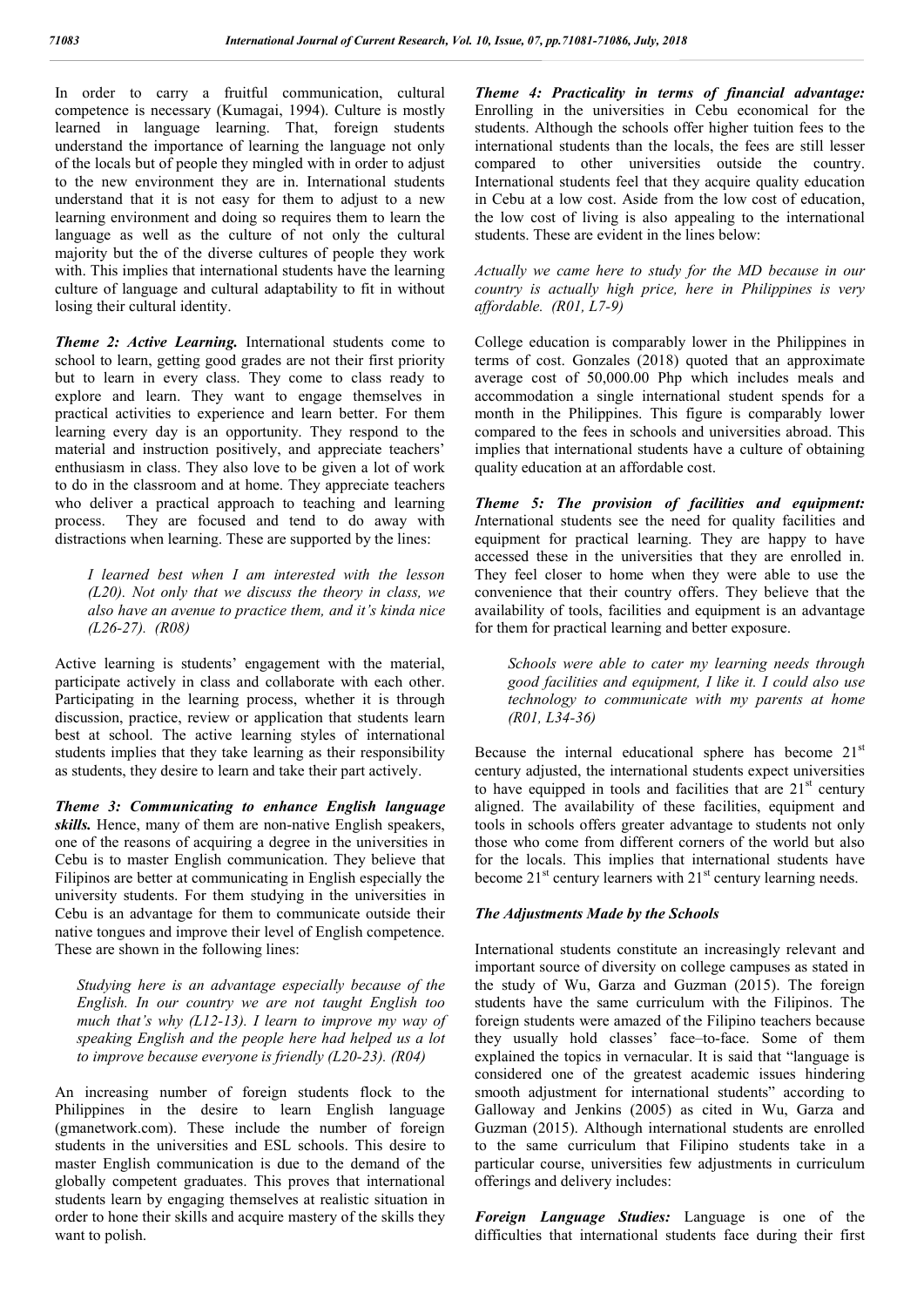In order to carry a fruitful communication, cultural competence is necessary (Kumagai, 1994). Culture is mostly learned in language learning. That, foreign students understand the importance of learning the language not only of the locals but of people they mingled with in order to adjust to the new environment they are in. International students understand that it is not easy for them to adjust to a new learning environment and doing so requires them to learn the language as well as the culture of not only the cultural majority but the of the diverse cultures of people they work with. This implies that international students have the learning culture of language and cultural adaptability to fit in without losing their cultural identity.

**Theme 2: Active Learning.** International students come to school to learn, getting good grades are not their first priority but to learn in every class. They come to class ready to explore and learn. They want to engage themselves in practical activities to experience and learn better. For them learning every day is an opportunity. They respond to the material and instruction positively, and appreciate teachers' enthusiasm in class. They also love to be given a lot of work to do in the classroom and at home. They appreciate teachers who deliver a practical approach to teaching and learning process. They are focused and tend to do away with distractions when learning. These are supported by the lines:

*I learned best when I am interested with the lesson (L20). Not only that we discuss the theory in class, we also have an avenue to practice them, and it's kinda nice (L26-27). (R08)*

Active learning is students' engagement with the material, participate actively in class and collaborate with each other. Participating in the learning process, whether it is through discussion, practice, review or application that students learn best at school. The active learning styles of international students implies that they take learning as their responsibility as students, they desire to learn and take their part actively.

*Theme 3: Communicating to enhance English language skills.* Hence, many of them are non-native English speakers, one of the reasons of acquiring a degree in the universities in Cebu is to master English communication. They believe that Filipinos are better at communicating in English especially the university students. For them studying in the universities in Cebu is an advantage for them to communicate outside their native tongues and improve their level of English competence. These are shown in the following lines:

*Studying here is an advantage especially because of the English. In our country we are not taught English too much that's why (L12-13). I learn to improve my way of speaking English and the people here had helped us a lot to improve because everyone is friendly (L20-23). (R04)*

An increasing number of foreign students flock to the Philippines in the desire to learn English language (gmanetwork.com). These include the number of foreign students in the universities and ESL schools. This desire to master English communication is due to the demand of the globally competent graduates. This proves that international students learn by engaging themselves at realistic situation in order to hone their skills and acquire mastery of the skills they want to polish.

*Theme 4: Practicality in terms of financial advantage:*  Enrolling in the universities in Cebu economical for the students. Although the schools offer higher tuition fees to the international students than the locals, the fees are still lesser compared to other universities outside the country. International students feel that they acquire quality education in Cebu at a low cost. Aside from the low cost of education, the low cost of living is also appealing to the international students. These are evident in the lines below:

*Actually we came here to study for the MD because in our country is actually high price, here in Philippines is very affordable. (R01, L7-9)*

College education is comparably lower in the Philippines in terms of cost. Gonzales (2018) quoted that an approximate average cost of 50,000.00 Php which includes meals and accommodation a single international student spends for a month in the Philippines. This figure is comparably lower compared to the fees in schools and universities abroad. This implies that international students have a culture of obtaining quality education at an affordable cost.

*Theme 5: The provision of facilities and equipment: I*nternational students see the need for quality facilities and equipment for practical learning. They are happy to have accessed these in the universities that they are enrolled in. They feel closer to home when they were able to use the convenience that their country offers. They believe that the availability of tools, facilities and equipment is an advantage for them for practical learning and better exposure.

*Schools were able to cater my learning needs through good facilities and equipment, I like it. I could also use technology to communicate with my parents at home (R01, L34-36)*

Because the internal educational sphere has become  $21<sup>st</sup>$ century adjusted, the international students expect universities to have equipped in tools and facilities that are  $21<sup>st</sup>$  century aligned. The availability of these facilities, equipment and tools in schools offers greater advantage to students not only those who come from different corners of the world but also for the locals. This implies that international students have become  $21^{st}$  century learners with  $21^{st}$  century learning needs.

### *The Adjustments Made by the Schools*

International students constitute an increasingly relevant and important source of diversity on college campuses as stated in the study of Wu, Garza and Guzman (2015). The foreign students have the same curriculum with the Filipinos. The foreign students were amazed of the Filipino teachers because they usually hold classes' face–to-face. Some of them explained the topics in vernacular. It is said that "language is considered one of the greatest academic issues hindering smooth adjustment for international students" according to Galloway and Jenkins (2005) as cited in Wu, Garza and Guzman (2015). Although international students are enrolled to the same curriculum that Filipino students take in a particular course, universities few adjustments in curriculum offerings and delivery includes:

*Foreign Language Studies:* Language is one of the difficulties that international students face during their first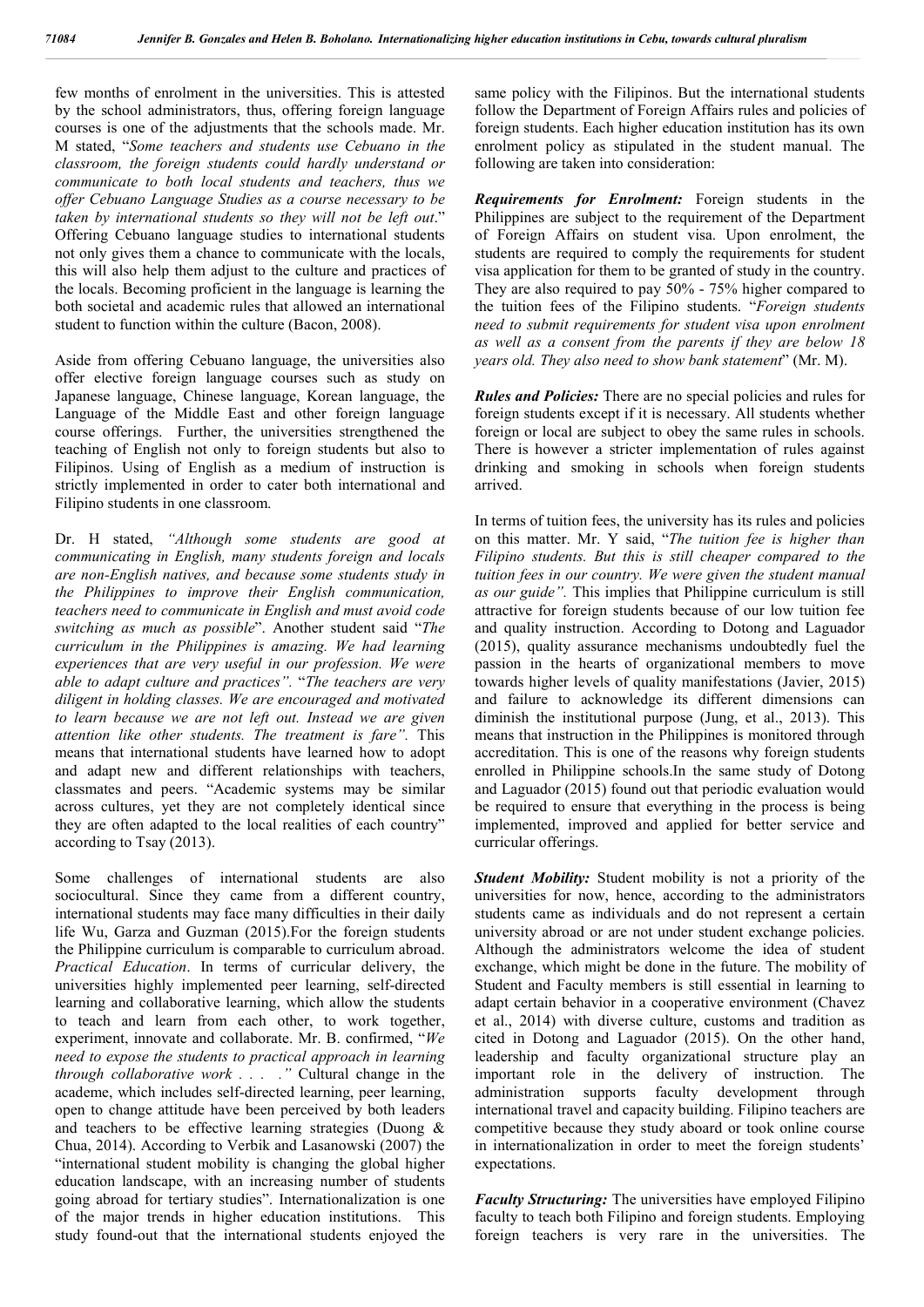few months of enrolment in the universities. This is attested by the school administrators, thus, offering foreign language courses is one of the adjustments that the schools made. Mr. M stated, "*Some teachers and students use Cebuano in the classroom, the foreign students could hardly understand or communicate to both local students and teachers, thus we offer Cebuano Language Studies as a course necessary to be taken by international students so they will not be left out*." Offering Cebuano language studies to international students not only gives them a chance to communicate with the locals, this will also help them adjust to the culture and practices of the locals. Becoming proficient in the language is learning the both societal and academic rules that allowed an international student to function within the culture (Bacon, 2008).

Aside from offering Cebuano language, the universities also offer elective foreign language courses such as study on Japanese language, Chinese language, Korean language, the Language of the Middle East and other foreign language course offerings. Further, the universities strengthened the teaching of English not only to foreign students but also to Filipinos. Using of English as a medium of instruction is strictly implemented in order to cater both international and Filipino students in one classroom.

Dr. H stated, *"Although some students are good at communicating in English, many students foreign and locals are non-English natives, and because some students study in the Philippines to improve their English communication, teachers need to communicate in English and must avoid code switching as much as possible*". Another student said "*The curriculum in the Philippines is amazing. We had learning experiences that are very useful in our profession. We were able to adapt culture and practices".* "*The teachers are very diligent in holding classes. We are encouraged and motivated to learn because we are not left out. Instead we are given attention like other students. The treatment is fare".* This means that international students have learned how to adopt and adapt new and different relationships with teachers, classmates and peers. "Academic systems may be similar across cultures, yet they are not completely identical since they are often adapted to the local realities of each country" according to Tsay (2013).

Some challenges of international students are also sociocultural. Since they came from a different country, international students may face many difficulties in their daily life Wu, Garza and Guzman (2015).For the foreign students the Philippine curriculum is comparable to curriculum abroad. *Practical Education*. In terms of curricular delivery, the universities highly implemented peer learning, self-directed learning and collaborative learning, which allow the students to teach and learn from each other, to work together, experiment, innovate and collaborate. Mr. B. confirmed, "*We need to expose the students to practical approach in learning through collaborative work . . . ."* Cultural change in the academe, which includes self-directed learning, peer learning, open to change attitude have been perceived by both leaders and teachers to be effective learning strategies (Duong & Chua, 2014). According to Verbik and Lasanowski (2007) the "international student mobility is changing the global higher education landscape, with an increasing number of students going abroad for tertiary studies". Internationalization is one of the major trends in higher education institutions. This study found-out that the international students enjoyed the

same policy with the Filipinos. But the international students follow the Department of Foreign Affairs rules and policies of foreign students. Each higher education institution has its own enrolment policy as stipulated in the student manual. The following are taken into consideration:

*Requirements for Enrolment:* Foreign students in the Philippines are subject to the requirement of the Department of Foreign Affairs on student visa. Upon enrolment, the students are required to comply the requirements for student visa application for them to be granted of study in the country. They are also required to pay 50% - 75% higher compared to the tuition fees of the Filipino students. "*Foreign students need to submit requirements for student visa upon enrolment as well as a consent from the parents if they are below 18 years old. They also need to show bank statement*" (Mr. M).

*Rules and Policies:* There are no special policies and rules for foreign students except if it is necessary. All students whether foreign or local are subject to obey the same rules in schools. There is however a stricter implementation of rules against drinking and smoking in schools when foreign students arrived.

In terms of tuition fees, the university has its rules and policies on this matter. Mr. Y said, "*The tuition fee is higher than Filipino students. But this is still cheaper compared to the tuition fees in our country. We were given the student manual as our guide".* This implies that Philippine curriculum is still attractive for foreign students because of our low tuition fee and quality instruction. According to Dotong and Laguador (2015), quality assurance mechanisms undoubtedly fuel the passion in the hearts of organizational members to move towards higher levels of quality manifestations (Javier, 2015) and failure to acknowledge its different dimensions can diminish the institutional purpose (Jung, et al., 2013). This means that instruction in the Philippines is monitored through accreditation. This is one of the reasons why foreign students enrolled in Philippine schools.In the same study of Dotong and Laguador (2015) found out that periodic evaluation would be required to ensure that everything in the process is being implemented, improved and applied for better service and curricular offerings.

*Student Mobility:* Student mobility is not a priority of the universities for now, hence, according to the administrators students came as individuals and do not represent a certain university abroad or are not under student exchange policies. Although the administrators welcome the idea of student exchange, which might be done in the future. The mobility of Student and Faculty members is still essential in learning to adapt certain behavior in a cooperative environment (Chavez et al., 2014) with diverse culture, customs and tradition as cited in Dotong and Laguador (2015). On the other hand, leadership and faculty organizational structure play an important role in the delivery of instruction. The administration supports faculty development through international travel and capacity building. Filipino teachers are competitive because they study aboard or took online course in internationalization in order to meet the foreign students' expectations.

*Faculty Structuring:* The universities have employed Filipino faculty to teach both Filipino and foreign students. Employing foreign teachers is very rare in the universities. The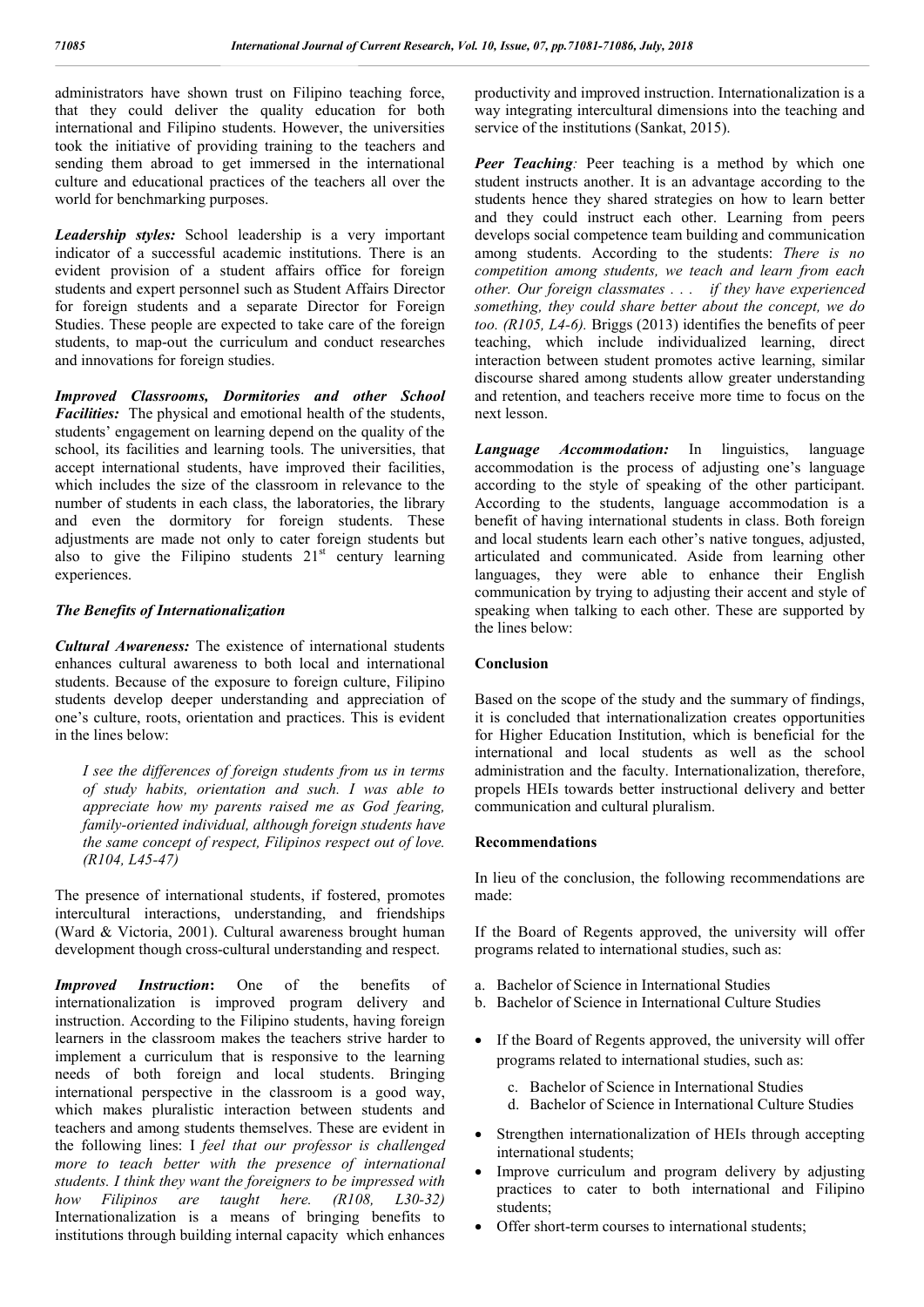administrators have shown trust on Filipino teaching force, that they could deliver the quality education for both international and Filipino students. However, the universities took the initiative of providing training to the teachers and sending them abroad to get immersed in the international culture and educational practices of the teachers all over the world for benchmarking purposes.

*Leadership styles:* School leadership is a very important indicator of a successful academic institutions. There is an evident provision of a student affairs office for foreign students and expert personnel such as Student Affairs Director for foreign students and a separate Director for Foreign Studies. These people are expected to take care of the foreign students, to map-out the curriculum and conduct researches and innovations for foreign studies.

*Improved Classrooms, Dormitories and other School Facilities:* The physical and emotional health of the students, students' engagement on learning depend on the quality of the school, its facilities and learning tools. The universities, that accept international students, have improved their facilities, which includes the size of the classroom in relevance to the number of students in each class, the laboratories, the library and even the dormitory for foreign students. These adjustments are made not only to cater foreign students but also to give the Filipino students  $21<sup>st</sup>$  century learning experiences.

#### *The Benefits of Internationalization*

*Cultural Awareness:* The existence of international students enhances cultural awareness to both local and international students. Because of the exposure to foreign culture, Filipino students develop deeper understanding and appreciation of one's culture, roots, orientation and practices. This is evident in the lines below:

*I see the differences of foreign students from us in terms of study habits, orientation and such. I was able to appreciate how my parents raised me as God fearing, family-oriented individual, although foreign students have the same concept of respect, Filipinos respect out of love. (R104, L45-47)*

The presence of international students, if fostered, promotes intercultural interactions, understanding, and friendships (Ward & Victoria, 2001). Cultural awareness brought human development though cross-cultural understanding and respect.

*Improved Instruction***:** One of the benefits of internationalization is improved program delivery and instruction. According to the Filipino students, having foreign learners in the classroom makes the teachers strive harder to implement a curriculum that is responsive to the learning needs of both foreign and local students. Bringing international perspective in the classroom is a good way, which makes pluralistic interaction between students and teachers and among students themselves. These are evident in the following lines: I *feel that our professor is challenged more to teach better with the presence of international students. I think they want the foreigners to be impressed with how Filipinos are taught here. (R108, L30-32)* Internationalization is a means of bringing benefits to institutions through building internal capacity which enhances

productivity and improved instruction. Internationalization is a way integrating intercultural dimensions into the teaching and service of the institutions (Sankat, 2015).

*Peer Teaching:* Peer teaching is a method by which one student instructs another. It is an advantage according to the students hence they shared strategies on how to learn better and they could instruct each other. Learning from peers develops social competence team building and communication among students. According to the students: *There is no competition among students, we teach and learn from each other. Our foreign classmates . . . if they have experienced something, they could share better about the concept, we do too. (R105, L4-6).* Briggs (2013) identifies the benefits of peer teaching, which include individualized learning, direct interaction between student promotes active learning, similar discourse shared among students allow greater understanding and retention, and teachers receive more time to focus on the next lesson.

*Language Accommodation:* In linguistics, language accommodation is the process of adjusting one's language according to the style of speaking of the other participant. According to the students, language accommodation is a benefit of having international students in class. Both foreign and local students learn each other's native tongues, adjusted, articulated and communicated. Aside from learning other languages, they were able to enhance their English communication by trying to adjusting their accent and style of speaking when talking to each other. These are supported by the lines below:

#### **Conclusion**

Based on the scope of the study and the summary of findings, it is concluded that internationalization creates opportunities for Higher Education Institution, which is beneficial for the international and local students as well as the school administration and the faculty. Internationalization, therefore, propels HEIs towards better instructional delivery and better communication and cultural pluralism.

### **Recommendations**

In lieu of the conclusion, the following recommendations are made:

If the Board of Regents approved, the university will offer programs related to international studies, such as:

- a. Bachelor of Science in International Studies
- b. Bachelor of Science in International Culture Studies
- If the Board of Regents approved, the university will offer programs related to international studies, such as:
	- c. Bachelor of Science in International Studies
	- d. Bachelor of Science in International Culture Studies
- Strengthen internationalization of HEIs through accepting international students;
- Improve curriculum and program delivery by adjusting practices to cater to both international and Filipino students;
- Offer short-term courses to international students;